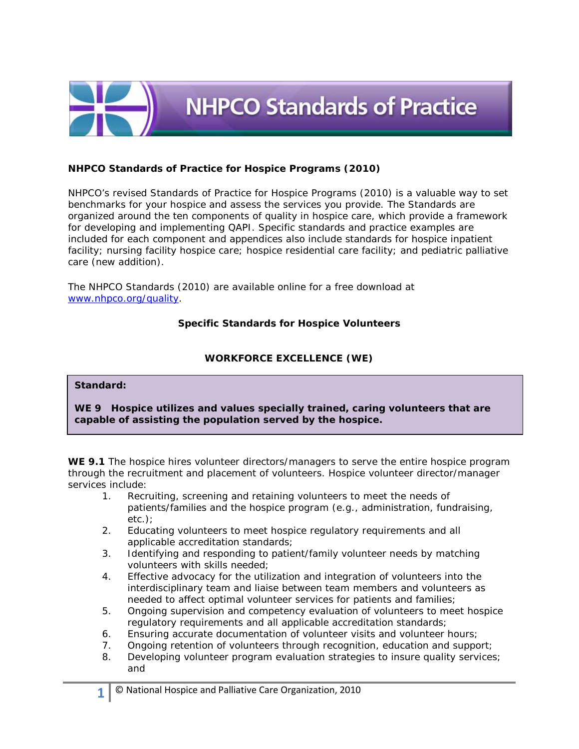

# **NHPCO Standards of Practice for Hospice Programs (2010)**

NHPCO's revised *Standards of Practice for Hospice Programs* (2010) is a valuable way to set benchmarks for your hospice and assess the services you provide. The Standards are organized around the ten components of quality in hospice care, which provide a framework for developing and implementing QAPI. Specific standards and practice examples are included for each component and appendices also include standards for hospice inpatient facility; nursing facility hospice care; hospice residential care facility; and pediatric palliative care (new addition).

The NHPCO Standards (2010) are available online for a free download at [www.nhpco.org/quality.](http://www.nhpco.org/quality)

## **Specific Standards for Hospice Volunteers**

## **WORKFORCE EXCELLENCE (WE)**

#### **Standard:**

**WE 9 Hospice utilizes and values specially trained, caring volunteers that are capable of assisting the population served by the hospice.**

**WE 9.1** The hospice hires volunteer directors/managers to serve the entire hospice program through the recruitment and placement of volunteers. Hospice volunteer director/manager services include:

- 1. Recruiting, screening and retaining volunteers to meet the needs of patients/families and the hospice program *(e.g., administration, fundraising, etc.)*;
- 2. Educating volunteers to meet hospice regulatory requirements and all applicable accreditation standards;
- 3. Identifying and responding to patient/family volunteer needs by matching volunteers with skills needed;
- 4. Effective advocacy for the utilization and integration of volunteers into the interdisciplinary team and liaise between team members and volunteers as needed to affect optimal volunteer services for patients and families;
- 5. Ongoing supervision and competency evaluation of volunteers to meet hospice regulatory requirements and all applicable accreditation standards;
- 6. Ensuring accurate documentation of volunteer visits and volunteer hours;
- 7. Ongoing retention of volunteers through recognition, education and support;
- 8. Developing volunteer program evaluation strategies to insure quality services; and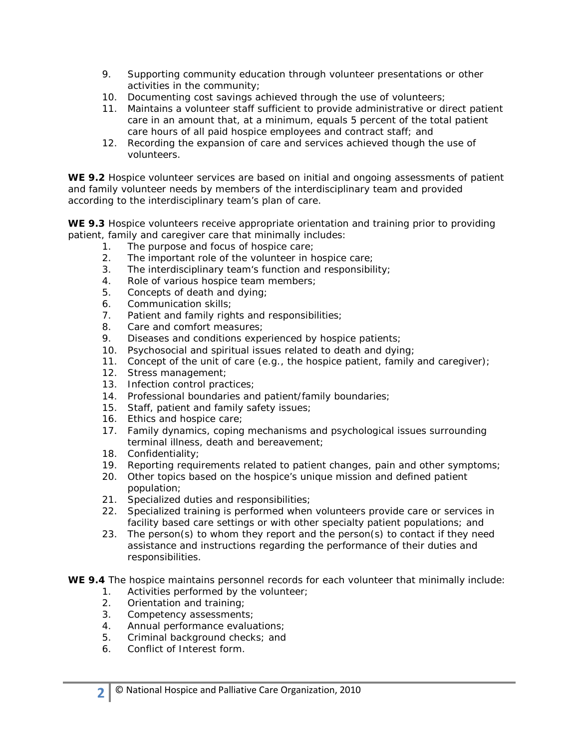- 9. Supporting community education through volunteer presentations or other activities in the community;
- 10. Documenting cost savings achieved through the use of volunteers;
- 11. Maintains a volunteer staff sufficient to provide administrative or direct patient care in an amount that, at a minimum, equals 5 percent of the total patient care hours of all paid hospice employees and contract staff; and
- 12. Recording the expansion of care and services achieved though the use of volunteers.

**WE 9.2** Hospice volunteer services are based on initial and ongoing assessments of patient and family volunteer needs by members of the interdisciplinary team and provided according to the interdisciplinary team's plan of care.

**WE 9.3** Hospice volunteers receive appropriate orientation and training prior to providing patient, family and caregiver care that minimally includes:

- 1. The purpose and focus of hospice care;
- 2. The important role of the volunteer in hospice care;
- 3. The interdisciplinary team's function and responsibility;
- 4. Role of various hospice team members;
- 5. Concepts of death and dying;
- 6. Communication skills;
- 7. Patient and family rights and responsibilities;
- 8. Care and comfort measures;
- 9. Diseases and conditions experienced by hospice patients;
- 10. Psychosocial and spiritual issues related to death and dying;
- 11. Concept of the unit of care *(e.g., the hospice patient, family and caregiver)*;
- 12. Stress management;
- 13. Infection control practices;
- 14. Professional boundaries and patient/family boundaries;
- 15. Staff, patient and family safety issues;
- 16. Ethics and hospice care;
- 17. Family dynamics, coping mechanisms and psychological issues surrounding terminal illness, death and bereavement;
- 18. Confidentiality;
- 19. Reporting requirements related to patient changes, pain and other symptoms;
- 20. Other topics based on the hospice's unique mission and defined patient population;
- 21. Specialized duties and responsibilities;
- 22. Specialized training is performed when volunteers provide care or services in facility based care settings or with other specialty patient populations; and
- 23. The person(s) to whom they report and the person(s) to contact if they need assistance and instructions regarding the performance of their duties and responsibilities.
- **WE 9.4** The hospice maintains personnel records for each volunteer that minimally include:
	- 1. Activities performed by the volunteer;
	- 2. Orientation and training;
	- 3. Competency assessments;
	- 4. Annual performance evaluations;
	- 5. Criminal background checks; and
	- 6. Conflict of Interest form.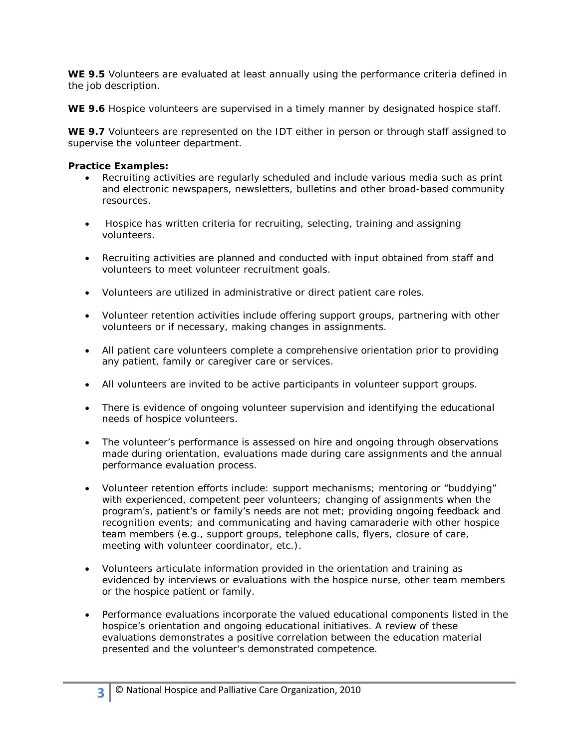**WE 9.5** Volunteers are evaluated at least annually using the performance criteria defined in the job description.

**WE 9.6** Hospice volunteers are supervised in a timely manner by designated hospice staff.

**WE 9.7** Volunteers are represented on the IDT either in person or through staff assigned to supervise the volunteer department.

## **Practice Examples:**

- Recruiting activities are regularly scheduled and include various media such as print and electronic newspapers, newsletters, bulletins and other broad-based community resources.
- Hospice has written criteria for recruiting, selecting, training and assigning volunteers.
- Recruiting activities are planned and conducted with input obtained from staff and volunteers to meet volunteer recruitment goals.
- Volunteers are utilized in administrative or direct patient care roles.
- Volunteer retention activities include offering support groups, partnering with other volunteers or if necessary, making changes in assignments.
- All patient care volunteers complete a comprehensive orientation prior to providing any patient, family or caregiver care or services.
- All volunteers are invited to be active participants in volunteer support groups.
- There is evidence of ongoing volunteer supervision and identifying the educational needs of hospice volunteers.
- The volunteer's performance is assessed on hire and ongoing through observations made during orientation, evaluations made during care assignments and the annual performance evaluation process.
- Volunteer retention efforts include: support mechanisms; mentoring or "buddying" with experienced, competent peer volunteers; changing of assignments when the program's, patient's or family's needs are not met; providing ongoing feedback and recognition events; and communicating and having camaraderie with other hospice team members *(e.g., support groups, telephone calls, flyers, closure of care, meeting with volunteer coordinator, etc.).*
- Volunteers articulate information provided in the orientation and training as evidenced by interviews or evaluations with the hospice nurse, other team members or the hospice patient or family.
- Performance evaluations incorporate the valued educational components listed in the hospice's orientation and ongoing educational initiatives. A review of these evaluations demonstrates a positive correlation between the education material presented and the volunteer's demonstrated competence.